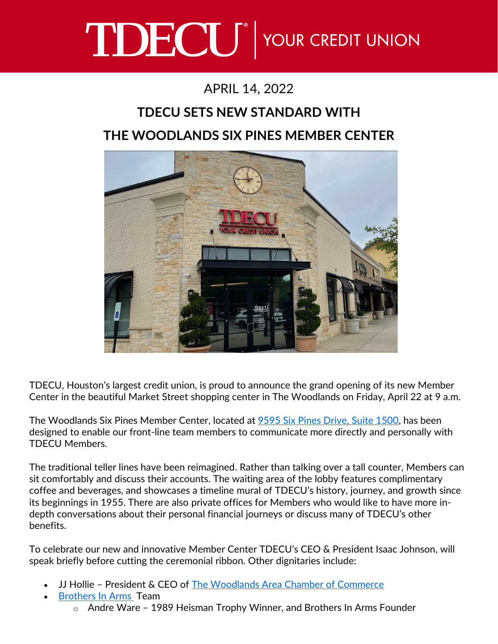## TDECU<sup>®</sup> YOUR CREDIT UNION

## APRIL 14, 2022

## **TDECU SETS NEW STANDARD WITH THE WOODLANDS SIX PINES MEMBER CENTER**



TDECU, Houston's largest credit union, is proud to announce the grand opening of its new Member Center in the beautiful Market Street shopping center in The Woodlands on Friday, April 22 at 9 a.m.

The Woodlands Six Pines Member Center, located at [9595 Six Pines Drive, Suite 1500,](https://goo.gl/maps/DAkXaevmK8LN7MQb6) has been designed to enable our front-line team members to communicate more directly and personally with TDECU Members.

The traditional teller lines have been reimagined. Rather than talking over a tall counter, Members can sit comfortably and discuss their accounts. The waiting area of the lobby features complimentary coffee and beverages, and showcases a timeline mural of TDECU's history, journey, and growth since its beginnings in 1955. There are also private offices for Members who would like to have more indepth conversations about their personal financial journeys or discuss many of TDECU's other benefits.

To celebrate our new and innovative Member Center TDECU's CEO & President Isaac Johnson, will speak briefly before cutting the ceremonial ribbon. Other dignitaries include:

- JJ Hollie President & CEO of [The Woodlands Area Chamber of Commerce](https://www.woodlandschamber.org/)
- [Brothers In Arms](https://www.brothersinarmshouston.com/) Team
	- o Andre Ware 1989 Heisman Trophy Winner, and Brothers In Arms Founder